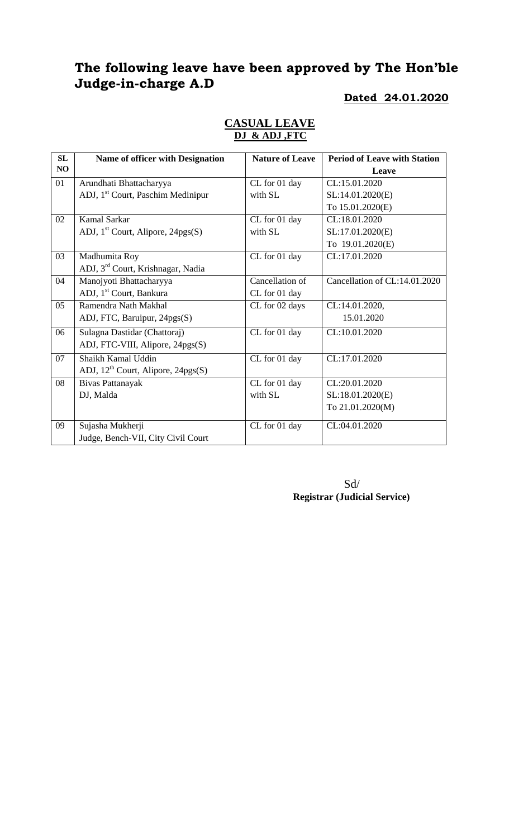# **The following leave have been approved by The Hon'ble Judge-in-charge A.D**

#### **Dated 24.01.2020**

| SL | Name of officer with Designation               | <b>Nature of Leave</b> | <b>Period of Leave with Station</b> |
|----|------------------------------------------------|------------------------|-------------------------------------|
| NO |                                                |                        | Leave                               |
| 01 | Arundhati Bhattacharyya                        | CL for 01 day          | CL:15.01.2020                       |
|    | ADJ, 1 <sup>st</sup> Court, Paschim Medinipur  | with SL                | SL:14.01.2020(E)                    |
|    |                                                |                        | To 15.01.2020(E)                    |
| 02 | Kamal Sarkar                                   | CL for 01 day          | CL:18.01.2020                       |
|    | ADJ, $1st$ Court, Alipore, 24pgs(S)            | with SL                | SL:17.01.2020(E)                    |
|    |                                                |                        | To 19.01.2020(E)                    |
| 03 | Madhumita Roy                                  | CL for 01 day          | CL:17.01.2020                       |
|    | ADJ, 3 <sup>rd</sup> Court, Krishnagar, Nadia  |                        |                                     |
| 04 | Manojyoti Bhattacharyya                        | Cancellation of        | Cancellation of CL:14.01.2020       |
|    | ADJ, 1 <sup>st</sup> Court, Bankura            | CL for 01 day          |                                     |
| 05 | Ramendra Nath Makhal                           | CL for 02 days         | CL:14.01.2020,                      |
|    | ADJ, FTC, Baruipur, 24pgs(S)                   |                        | 15.01.2020                          |
| 06 | Sulagna Dastidar (Chattoraj)                   | CL for 01 day          | CL:10.01.2020                       |
|    | ADJ, FTC-VIII, Alipore, 24pgs(S)               |                        |                                     |
| 07 | Shaikh Kamal Uddin                             | CL for 01 day          | CL:17.01.2020                       |
|    | ADJ, 12 <sup>th</sup> Court, Alipore, 24pgs(S) |                        |                                     |
| 08 | Bivas Pattanayak                               | CL for 01 day          | CL:20.01.2020                       |
|    | DJ, Malda                                      | with SL                | SL:18.01.2020(E)                    |
|    |                                                |                        | To 21.01.2020(M)                    |
| 09 | Sujasha Mukherji                               | CL for 01 day          | CL:04.01.2020                       |
|    | Judge, Bench-VII, City Civil Court             |                        |                                     |

#### **CASUAL LEAVE DJ & ADJ ,FTC**

 Sd/ **Registrar (Judicial Service)**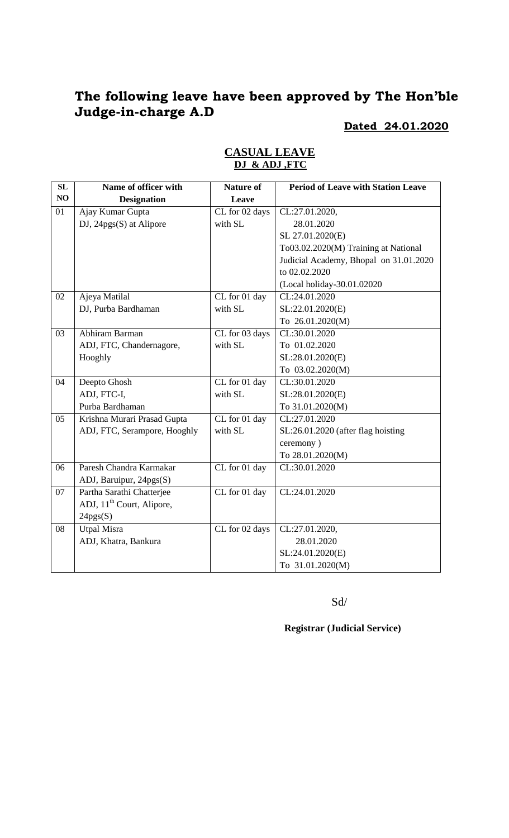# **The following leave have been approved by The Hon'ble Judge-in-charge A.D**

## **Dated 24.01.2020**

| SL | Name of officer with                  | <b>Nature of</b> | <b>Period of Leave with Station Leave</b> |
|----|---------------------------------------|------------------|-------------------------------------------|
| NO | <b>Designation</b>                    | Leave            |                                           |
| 01 | Ajay Kumar Gupta                      | CL for 02 days   | CL:27.01.2020,                            |
|    | DJ, 24pgs(S) at Alipore               | with SL          | 28.01.2020                                |
|    |                                       |                  | SL 27.01.2020(E)                          |
|    |                                       |                  | To03.02.2020(M) Training at National      |
|    |                                       |                  | Judicial Academy, Bhopal on 31.01.2020    |
|    |                                       |                  | to 02.02.2020                             |
|    |                                       |                  | (Local holiday-30.01.02020                |
| 02 | Ajeya Matilal                         | CL for 01 day    | CL:24.01.2020                             |
|    | DJ, Purba Bardhaman                   | with SL          | SL:22.01.2020(E)                          |
|    |                                       |                  | To 26.01.2020(M)                          |
| 03 | Abhiram Barman                        | CL for 03 days   | CL:30.01.2020                             |
|    | ADJ, FTC, Chandernagore,              | with SL          | To 01.02.2020                             |
|    | Hooghly                               |                  | SL:28.01.2020(E)                          |
|    |                                       |                  | To 03.02.2020(M)                          |
| 04 | Deepto Ghosh                          | CL for 01 day    | CL:30.01.2020                             |
|    | ADJ, FTC-I,                           | with SL          | SL:28.01.2020(E)                          |
|    | Purba Bardhaman                       |                  | To 31.01.2020(M)                          |
| 05 | Krishna Murari Prasad Gupta           | CL for 01 day    | CL:27.01.2020                             |
|    | ADJ, FTC, Serampore, Hooghly          | with SL          | SL:26.01.2020 (after flag hoisting        |
|    |                                       |                  | ceremony)                                 |
|    |                                       |                  | To 28.01.2020(M)                          |
| 06 | Paresh Chandra Karmakar               | CL for 01 day    | CL:30.01.2020                             |
|    | ADJ, Baruipur, 24pgs(S)               |                  |                                           |
| 07 | Partha Sarathi Chatterjee             | CL for 01 day    | CL:24.01.2020                             |
|    | ADJ, 11 <sup>th</sup> Court, Alipore, |                  |                                           |
|    | 24pgs(S)                              |                  |                                           |
| 08 | <b>Utpal Misra</b>                    | CL for 02 days   | CL:27.01.2020,                            |
|    | ADJ, Khatra, Bankura                  |                  | 28.01.2020                                |
|    |                                       |                  | SL:24.01.2020(E)                          |
|    |                                       |                  | To 31.01.2020(M)                          |

### **CASUAL LEAVE DJ & ADJ ,FTC**

Sd/

**Registrar (Judicial Service)**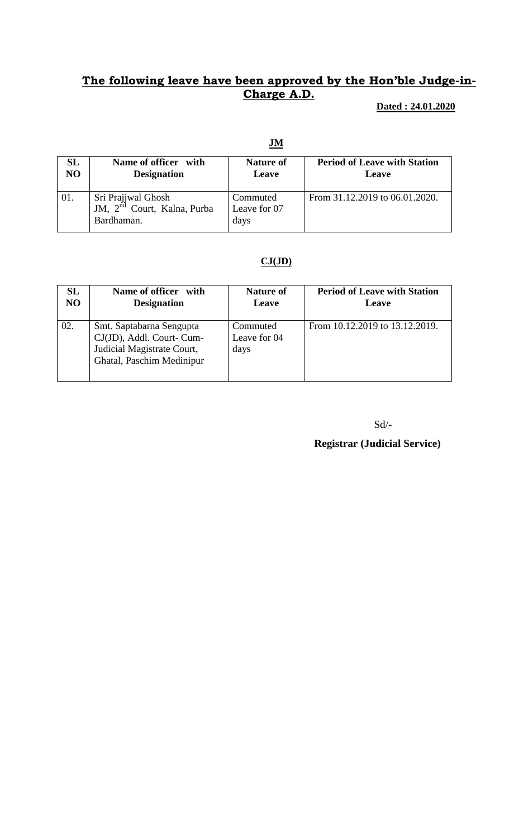# **The following leave have been approved by the Hon'ble Judge-in-Charge A.D.**

**Dated : 24.01.2020**

#### **JM**

| SL             | Name of officer with                                                                     | <b>Nature of</b>                 | <b>Period of Leave with Station</b> |
|----------------|------------------------------------------------------------------------------------------|----------------------------------|-------------------------------------|
| N <sub>O</sub> | <b>Designation</b>                                                                       | Leave                            | Leave                               |
| 01.            | Sri Prajjwal Ghosh<br><sup>1</sup> JM, 2 <sup>nd</sup> Court, Kalna, Purba<br>Bardhaman. | Commuted<br>Leave for 07<br>days | From 31.12.2019 to 06.01.2020.      |

#### **CJ(JD)**

| SL             | Name of officer with                                                                                             | <b>Nature of</b>                 | <b>Period of Leave with Station</b> |
|----------------|------------------------------------------------------------------------------------------------------------------|----------------------------------|-------------------------------------|
| N <sub>O</sub> | <b>Designation</b>                                                                                               | Leave                            | Leave                               |
| 02.            | Smt. Saptabarna Sengupta<br>CJ(JD), Addl. Court- Cum-<br>Judicial Magistrate Court,<br>Ghatal, Paschim Medinipur | Commuted<br>Leave for 04<br>days | From 10.12.2019 to 13.12.2019.      |

Sd/-

**Registrar (Judicial Service)**